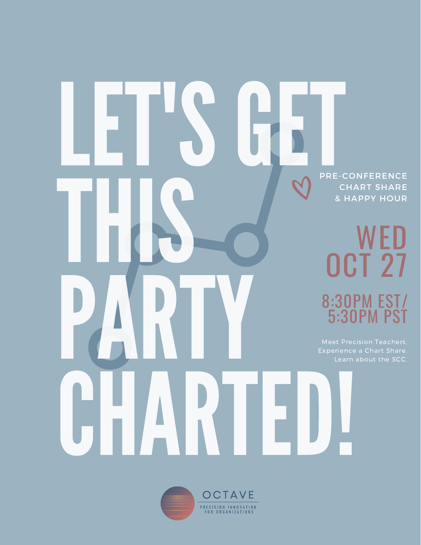## PRE-CONFERENCE CHART SHARE & HAPPY HOUR WED OCT 27 8:30PM EST/ 5:30PM PST LET'SGET THS. PARTY **CHARTED!**

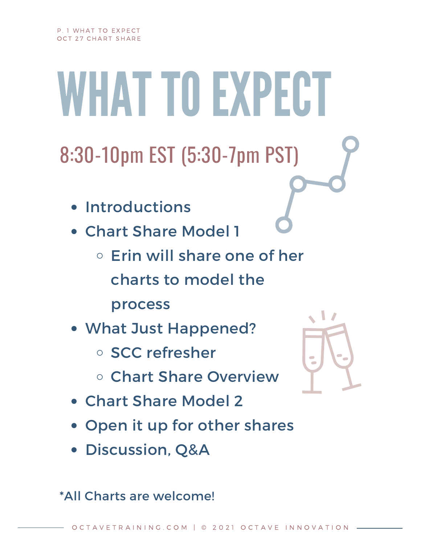WHAT TO EXPECT

8:30-10pm EST (5:30-7pm PST)

- Introductions
- Chart Share Model 1
	- $\circ$  Erin will share one of her charts to model the process
- What Just Happened?
	- SCC refresher
	- Chart Share Overview
- Chart Share Model 2
- Open it up for other shares
- Discussion, Q&A

\*All Charts are welcome!

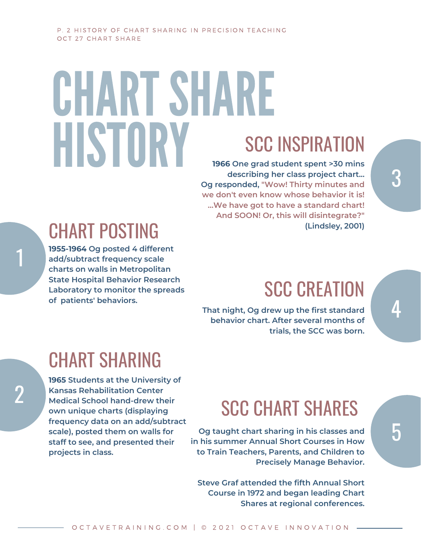# CHART SHARE HISTORY

### SCC INSPIRATION

**1966 One grad student spent >30 mins describing her class project chart... Og responded, "Wow! Thirty minutes and we don't even know whose behavior it is! ...We have got to have a standard chart! And SOON! Or, this will disintegrate?" (Lindsley, 2001)**

## CHART POSTING

1

2

**1955-1964 Og posted 4 different add/subtract frequency scale charts on walls in Metropolitan State Hospital Behavior Research Laboratory to monitor the spreads of patients' behaviors.**

## **SCC CREATION**

**That night, Og drew up the first standard behavior chart. After several months of trials, the SCC was born.**

## CHART SHARING

**1965 Students at the University of Kansas Rehabilitation Center Medical School hand-drew their own unique charts (displaying frequency data on an add/subtract scale), posted them on walls for staff to see, and presented their projects in class.**

## SCC CHART SHARES

**Og taught chart sharing in his classes and in his summer Annual Short Courses in How to Train Teachers, Parents, and Children to Precisely Manage Behavior.**

**Steve Graf attended the fifth Annual Short Course in 1972 and began leading Chart Shares at regional conferences.** 5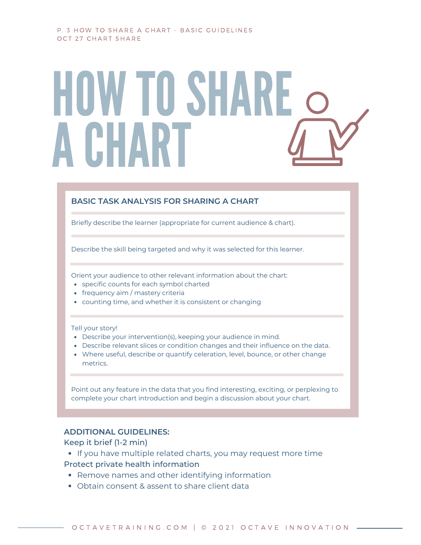#### P. 3 HOW TO SHARE A CHART - BASIC GUIDELINES OCT 27 CHART SHARE

## HOW TO SHARE ACHART

#### **BASIC TASK ANALYSIS FOR SHARING A CHART**

Briefly describe the learner (appropriate for current audience & chart).

Describe the skill being targeted and why it was selected for this learner.

Orient your audience to other relevant information about the chart:

- specific counts for each symbol charted
- frequency aim / mastery criteria
- counting time, and whether it is consistent or changing

#### Tell your story!

- Describe your intervention(s), keeping your audience in mind.
- Describe relevant slices or condition changes and their influence on the data.
- Where useful, describe or quantify celeration, level, bounce, or other change metrics.

Point out any feature in the data that you find interesting, exciting, or perplexing to complete your chart introduction and begin a discussion about your chart.

#### **ADDITIONAL GUIDELINES:**

#### Keep it brief (1-2 min)

• If you have multiple related charts, you may request more time

#### Protect private health information

- Remove names and other identifying information
- Obtain consent & assent to share client data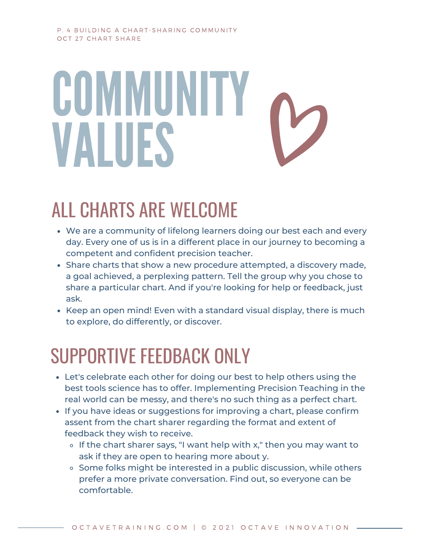#### P. 4 BUILDING A CHART-SHARING COMMUNITY OCT 27 CHART SHARE

# COMMUNITY VALUES

## ALL CHARTS ARE WELCOME

- We are a community of lifelong learners doing our best each and every day. Every one of us is in a different place in our journey to becoming a competent and confident precision teacher.
- Share charts that show a new procedure attempted, a discovery made, a goal achieved, a perplexing pattern. Tell the group why you chose to share a particular chart. And if you're looking for help or feedback, just ask.
- Keep an open mind! Even with a standard visual display, there is much to explore, do differently, or discover.

## SUPPORTIVE FEEDBACK ONLY

- Let's celebrate each other for doing our best to help others using the best tools science has to offer. Implementing Precision Teaching in the real world can be messy, and there's no such thing as a perfect chart.
- If you have ideas or suggestions for improving a chart, please confirm assent from the chart sharer regarding the format and extent of feedback they wish to receive.
	- $\circ$  If the chart sharer says, "I want help with x," then you may want to ask if they are open to hearing more about y.
	- $\circ$  Some folks might be interested in a public discussion, while others prefer a more private conversation. Find out, so everyone can be comfortable.